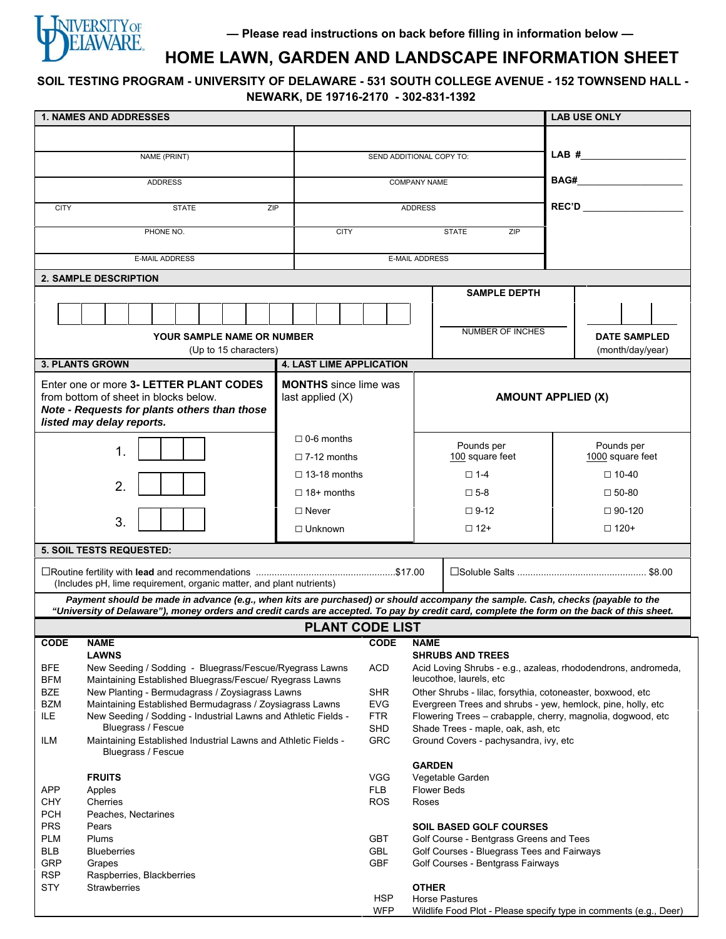

# **HOME LAWN, GARDEN AND LANDSCAPE INFORMATION SHEET**

**SOIL TESTING PROGRAM - UNIVERSITY OF DELAWARE - 531 SOUTH COLLEGE AVENUE - 152 TOWNSEND HALL - NEWARK, DE 19716-2170 - 302-831-1392**

| <b>1. NAMES AND ADDRESSES</b>                                                                                                                    |                                                 |                          |                                                                                                                             |                                        | <b>LAB USE ONLY</b> |                           |                                                                   |  |
|--------------------------------------------------------------------------------------------------------------------------------------------------|-------------------------------------------------|--------------------------|-----------------------------------------------------------------------------------------------------------------------------|----------------------------------------|---------------------|---------------------------|-------------------------------------------------------------------|--|
|                                                                                                                                                  |                                                 |                          |                                                                                                                             |                                        |                     |                           |                                                                   |  |
| NAME (PRINT)                                                                                                                                     |                                                 | SEND ADDITIONAL COPY TO: |                                                                                                                             |                                        |                     |                           | LAB#                                                              |  |
|                                                                                                                                                  |                                                 |                          |                                                                                                                             |                                        |                     |                           |                                                                   |  |
| <b>ADDRESS</b>                                                                                                                                   |                                                 | <b>COMPANY NAME</b>      |                                                                                                                             |                                        |                     |                           |                                                                   |  |
|                                                                                                                                                  |                                                 |                          |                                                                                                                             |                                        |                     |                           |                                                                   |  |
| <b>CITY</b><br><b>STATE</b><br>ZIP                                                                                                               |                                                 | <b>ADDRESS</b>           |                                                                                                                             |                                        |                     |                           | REC'D                                                             |  |
| PHONE NO.                                                                                                                                        | <b>CITY</b>                                     |                          |                                                                                                                             |                                        | <b>STATE</b><br>ZIP |                           |                                                                   |  |
|                                                                                                                                                  |                                                 |                          |                                                                                                                             |                                        |                     |                           |                                                                   |  |
| <b>E-MAIL ADDRESS</b>                                                                                                                            |                                                 | <b>E-MAIL ADDRESS</b>    |                                                                                                                             |                                        |                     |                           |                                                                   |  |
| <b>2. SAMPLE DESCRIPTION</b>                                                                                                                     |                                                 |                          |                                                                                                                             |                                        |                     |                           |                                                                   |  |
|                                                                                                                                                  |                                                 |                          |                                                                                                                             |                                        | <b>SAMPLE DEPTH</b> |                           |                                                                   |  |
|                                                                                                                                                  |                                                 |                          |                                                                                                                             |                                        |                     |                           |                                                                   |  |
|                                                                                                                                                  |                                                 |                          | <b>NUMBER OF INCHES</b>                                                                                                     |                                        |                     |                           |                                                                   |  |
| YOUR SAMPLE NAME OR NUMBER                                                                                                                       |                                                 |                          | <b>DATE SAMPLED</b>                                                                                                         |                                        |                     |                           |                                                                   |  |
| (Up to 15 characters)<br>(month/day/year)<br><b>4. LAST LIME APPLICATION</b><br><b>3. PLANTS GROWN</b>                                           |                                                 |                          |                                                                                                                             |                                        |                     |                           |                                                                   |  |
|                                                                                                                                                  |                                                 |                          |                                                                                                                             |                                        |                     |                           |                                                                   |  |
| Enter one or more 3- LETTER PLANT CODES<br><b>MONTHS</b> since lime was<br>from bottom of sheet in blocks below.<br>last applied (X)             |                                                 |                          |                                                                                                                             |                                        |                     | <b>AMOUNT APPLIED (X)</b> |                                                                   |  |
| Note - Requests for plants others than those                                                                                                     |                                                 |                          |                                                                                                                             |                                        |                     |                           |                                                                   |  |
| listed may delay reports.                                                                                                                        |                                                 |                          |                                                                                                                             |                                        |                     |                           |                                                                   |  |
|                                                                                                                                                  | $\Box$ 0-6 months                               |                          |                                                                                                                             |                                        |                     |                           |                                                                   |  |
| $\mathbf 1$<br>$\Box$ 7-12 months                                                                                                                |                                                 |                          | Pounds per<br>100 square feet                                                                                               |                                        |                     |                           | Pounds per<br>1000 square feet                                    |  |
|                                                                                                                                                  | $\Box$ 13-18 months                             |                          | $\square$ 1-4                                                                                                               |                                        |                     | $\Box$ 10-40              |                                                                   |  |
| 2.                                                                                                                                               | $\Box$ 18+ months                               |                          |                                                                                                                             |                                        |                     | $\square$ 50-80           |                                                                   |  |
|                                                                                                                                                  |                                                 |                          |                                                                                                                             | $\square$ 5-8                          |                     |                           |                                                                   |  |
| 3.                                                                                                                                               | $\Box$ Never                                    |                          | $\Box$ 9-12                                                                                                                 |                                        |                     | $\Box$ 90-120             |                                                                   |  |
|                                                                                                                                                  | $\Box$ Unknown                                  |                          | $\Box$ 12+                                                                                                                  |                                        |                     | $\Box$ 120+               |                                                                   |  |
| 5. SOIL TESTS REQUESTED:                                                                                                                         |                                                 |                          |                                                                                                                             |                                        |                     |                           |                                                                   |  |
|                                                                                                                                                  |                                                 |                          |                                                                                                                             |                                        |                     |                           |                                                                   |  |
| (Includes pH, lime requirement, organic matter, and plant nutrients)                                                                             |                                                 |                          |                                                                                                                             |                                        |                     |                           |                                                                   |  |
| Payment should be made in advance (e.g., when kits are purchased) or should accompany the sample. Cash, checks (payable to the                   |                                                 |                          |                                                                                                                             |                                        |                     |                           |                                                                   |  |
| "University of Delaware"), money orders and credit cards are accepted. To pay by credit card, complete the form on the back of this sheet.       |                                                 |                          |                                                                                                                             |                                        |                     |                           |                                                                   |  |
| <b>PLANT CODE LIST</b>                                                                                                                           |                                                 |                          |                                                                                                                             |                                        |                     |                           |                                                                   |  |
| CODE                                                                                                                                             | <b>NAME</b><br><b>CODE</b><br><b>LAWNS</b>      |                          |                                                                                                                             | <b>NAME</b><br><b>SHRUBS AND TREES</b> |                     |                           |                                                                   |  |
| <b>BFE</b><br>New Seeding / Sodding - Bluegrass/Fescue/Ryegrass Lawns                                                                            |                                                 |                          | Acid Loving Shrubs - e.g., azaleas, rhododendrons, andromeda,                                                               |                                        |                     |                           |                                                                   |  |
| <b>BFM</b><br>Maintaining Established Bluegrass/Fescue/ Ryegrass Lawns                                                                           |                                                 |                          | leucothoe, laurels, etc                                                                                                     |                                        |                     |                           |                                                                   |  |
| <b>BZE</b><br>New Planting - Bermudagrass / Zoysiagrass Lawns                                                                                    |                                                 |                          | Other Shrubs - lilac, forsythia, cotoneaster, boxwood, etc                                                                  |                                        |                     |                           |                                                                   |  |
| <b>BZM</b><br>Maintaining Established Bermudagrass / Zoysiagrass Lawns<br>ILE.<br>New Seeding / Sodding - Industrial Lawns and Athletic Fields - |                                                 |                          | Evergreen Trees and shrubs - yew, hemlock, pine, holly, etc.<br>Flowering Trees - crabapple, cherry, magnolia, dogwood, etc |                                        |                     |                           |                                                                   |  |
| Bluegrass / Fescue                                                                                                                               |                                                 |                          | Shade Trees - maple, oak, ash, etc                                                                                          |                                        |                     |                           |                                                                   |  |
| Maintaining Established Industrial Lawns and Athletic Fields -<br>ILM                                                                            |                                                 |                          | Ground Covers - pachysandra, ivy, etc                                                                                       |                                        |                     |                           |                                                                   |  |
| Bluegrass / Fescue                                                                                                                               |                                                 |                          |                                                                                                                             | <b>GARDEN</b>                          |                     |                           |                                                                   |  |
| <b>FRUITS</b>                                                                                                                                    |                                                 |                          | <b>VGG</b><br>Vegetable Garden                                                                                              |                                        |                     |                           |                                                                   |  |
| <b>APP</b><br>Apples                                                                                                                             |                                                 |                          | <b>Flower Beds</b>                                                                                                          |                                        |                     |                           |                                                                   |  |
| <b>CHY</b><br>Cherries                                                                                                                           |                                                 |                          | Roses                                                                                                                       |                                        |                     |                           |                                                                   |  |
| <b>PCH</b><br>Peaches, Nectarines<br><b>PRS</b><br>Pears                                                                                         |                                                 |                          |                                                                                                                             | <b>SOIL BASED GOLF COURSES</b>         |                     |                           |                                                                   |  |
| <b>PLM</b><br>Plums                                                                                                                              |                                                 |                          | Golf Course - Bentgrass Greens and Tees                                                                                     |                                        |                     |                           |                                                                   |  |
| <b>BLB</b><br><b>Blueberries</b>                                                                                                                 |                                                 |                          | Golf Courses - Bluegrass Tees and Fairways                                                                                  |                                        |                     |                           |                                                                   |  |
| <b>GRP</b><br>Grapes<br><b>RSP</b>                                                                                                               | <b>GBF</b><br>Golf Courses - Bentgrass Fairways |                          |                                                                                                                             |                                        |                     |                           |                                                                   |  |
| Raspberries, Blackberries<br><b>STY</b><br><b>Strawberries</b><br><b>OTHER</b>                                                                   |                                                 |                          |                                                                                                                             |                                        |                     |                           |                                                                   |  |
|                                                                                                                                                  |                                                 | <b>HSP</b>               | Horse Pastures                                                                                                              |                                        |                     |                           |                                                                   |  |
|                                                                                                                                                  |                                                 | <b>WFP</b>               |                                                                                                                             |                                        |                     |                           | Wildlife Food Plot - Please specify type in comments (e.g., Deer) |  |